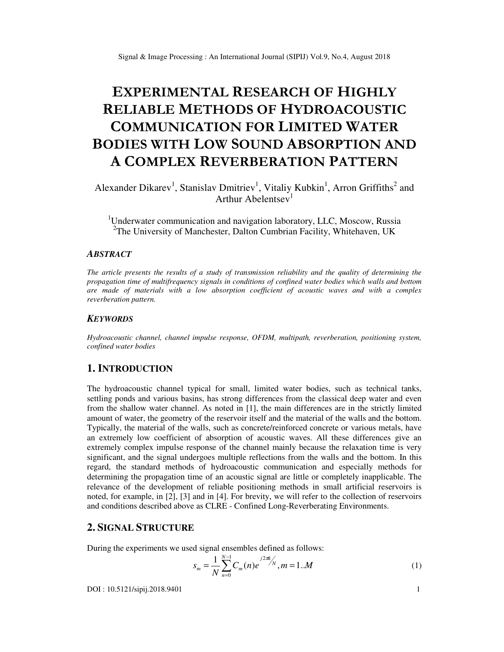# **EXPERIMENTAL RESEARCH OF HIGHLY RELIABLE METHODS OF HYDROACOUSTIC COMMUNICATION FOR LIMITED WATER BODIES WITH LOW SOUND ABSORPTION AND A COMPLEX REVERBERATION PATTERN**

Alexander Dikarev<sup>1</sup>, Stanislav Dmitriev<sup>1</sup>, Vitaliy Kubkin<sup>1</sup>, Arron Griffiths<sup>2</sup> and Arthur Abelentsev<sup>1</sup>

<sup>1</sup>Underwater communication and navigation laboratory, LLC, Moscow, Russia <sup>2</sup>The University of Manchester, Dalton Cumbrian Facility, Whitehaven, UK

## *ABSTRACT*

*The article presents the results of a study of transmission reliability and the quality of determining the propagation time of multifrequency signals in conditions of confined water bodies which walls and bottom are made of materials with a low absorption coefficient of acoustic waves and with a complex reverberation pattern.* 

### *KEYWORDS*

*Hydroacoustic channel, channel impulse response, OFDM, multipath, reverberation, positioning system, confined water bodies* 

# **1. INTRODUCTION**

The hydroacoustic channel typical for small, limited water bodies, such as technical tanks, settling ponds and various basins, has strong differences from the classical deep water and even from the shallow water channel. As noted in [1], the main differences are in the strictly limited amount of water, the geometry of the reservoir itself and the material of the walls and the bottom. Typically, the material of the walls, such as concrete/reinforced concrete or various metals, have an extremely low coefficient of absorption of acoustic waves. All these differences give an extremely complex impulse response of the channel mainly because the relaxation time is very significant, and the signal undergoes multiple reflections from the walls and the bottom. In this regard, the standard methods of hydroacoustic communication and especially methods for determining the propagation time of an acoustic signal are little or completely inapplicable. The relevance of the development of reliable positioning methods in small artificial reservoirs is noted, for example, in [2], [3] and in [4]. For brevity, we will refer to the collection of reservoirs and conditions described above as CLRE - Confined Long-Reverberating Environments.

# **2. SIGNAL STRUCTURE**

During the experiments we used signal ensembles defined as follows:

$$
s_m = \frac{1}{N} \sum_{n=0}^{N-1} C_m(n) e^{j2\pi k/n}, m = 1..M
$$
 (1)

DOI : 10.5121/sipij.2018.9401 1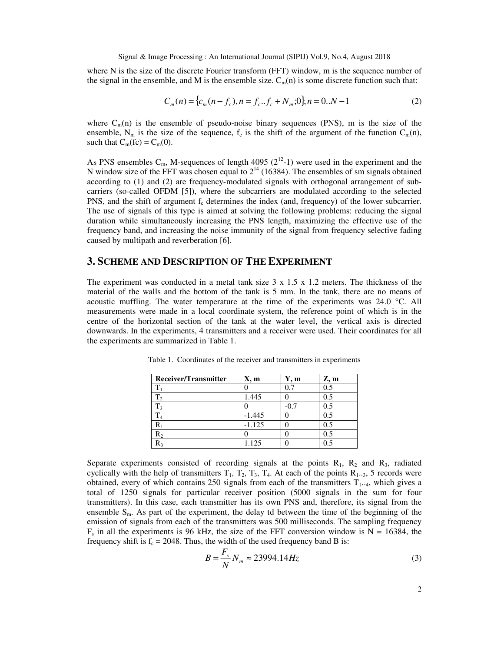where N is the size of the discrete Fourier transform (FFT) window, m is the sequence number of the signal in the ensemble, and M is the ensemble size.  $C_m(n)$  is some discrete function such that:

$$
C_m(n) = \{c_m(n - f_c), n = f_c..f_c + N_m; 0\}, n = 0..N - 1
$$
\n(2)

where  $C_m(n)$  is the ensemble of pseudo-noise binary sequences (PNS), m is the size of the ensemble,  $N_m$  is the size of the sequence,  $f_c$  is the shift of the argument of the function  $C_m(n)$ , such that  $C_m$ (fc) =  $C_m$ (0).

As PNS ensembles  $C_m$ , M-sequences of length 4095 ( $2^{12}$ -1) were used in the experiment and the N window size of the FFT was chosen equal to  $2^{14}$  (16384). The ensembles of sm signals obtained according to (1) and (2) are frequency-modulated signals with orthogonal arrangement of subcarriers (so-called OFDM [5]), where the subcarriers are modulated according to the selected PNS, and the shift of argument  $f_c$  determines the index (and, frequency) of the lower subcarrier. The use of signals of this type is aimed at solving the following problems: reducing the signal duration while simultaneously increasing the PNS length, maximizing the effective use of the frequency band, and increasing the noise immunity of the signal from frequency selective fading caused by multipath and reverberation [6].

## **3. SCHEME AND DESCRIPTION OF THE EXPERIMENT**

The experiment was conducted in a metal tank size  $3 \times 1.5 \times 1.2$  meters. The thickness of the material of the walls and the bottom of the tank is 5 mm. In the tank, there are no means of acoustic muffling. The water temperature at the time of the experiments was 24.0 °C. All measurements were made in a local coordinate system, the reference point of which is in the centre of the horizontal section of the tank at the water level, the vertical axis is directed downwards. In the experiments, 4 transmitters and a receiver were used. Their coordinates for all the experiments are summarized in Table 1.

| Receiver/Transmitter | X, m     | Y, m   | Z, m |
|----------------------|----------|--------|------|
| $T_1$                |          | 0.7    | 0.5  |
| T <sub>2</sub>       | 1.445    |        | 0.5  |
| $T_3$                |          | $-0.7$ | 0.5  |
| T <sub>4</sub>       | $-1.445$ |        | 0.5  |
| $\rm R_1$            | $-1.125$ |        | 0.5  |
| $R_2$                |          |        | 0.5  |
| $R_3$                | 1.125    |        | 0.5  |

Table 1. Coordinates of the receiver and transmitters in experiments

Separate experiments consisted of recording signals at the points  $R_1$ ,  $R_2$  and  $R_3$ , radiated cyclically with the help of transmitters  $T_1$ ,  $T_2$ ,  $T_3$ ,  $T_4$ . At each of the points  $R_1$ ...3, 5 records were obtained, every of which contains 250 signals from each of the transmitters  $T_{1..4}$ , which gives a total of 1250 signals for particular receiver position (5000 signals in the sum for four transmitters). In this case, each transmitter has its own PNS and, therefore, its signal from the ensemble  $S_m$ . As part of the experiment, the delay td between the time of the beginning of the emission of signals from each of the transmitters was 500 milliseconds. The sampling frequency  $F_s$  in all the experiments is 96 kHz, the size of the FFT conversion window is  $N = 16384$ , the frequency shift is  $f_c = 2048$ . Thus, the width of the used frequency band B is:

$$
B = \frac{F_s}{N} N_m \approx 23994.14 Hz
$$
\n(3)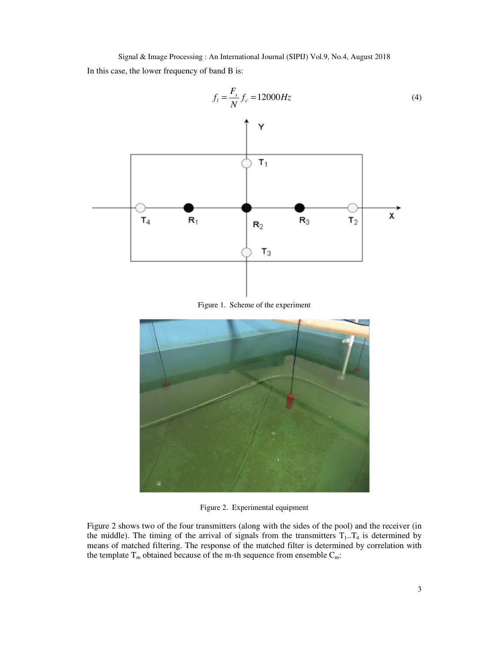Signal & Image Processing : An International Journal (SIPIJ) Vol.9, No.4, August 2018 In this case, the lower frequency of band B is:



Figure 2. Experimental equipment

Figure 2 shows two of the four transmitters (along with the sides of the pool) and the receiver (in the middle). The timing of the arrival of signals from the transmitters  $T_1 \cdot T_4$  is determined by means of matched filtering. The response of the matched filter is determined by correlation with the template  $T_m$  obtained because of the m-th sequence from ensemble  $C_m$ :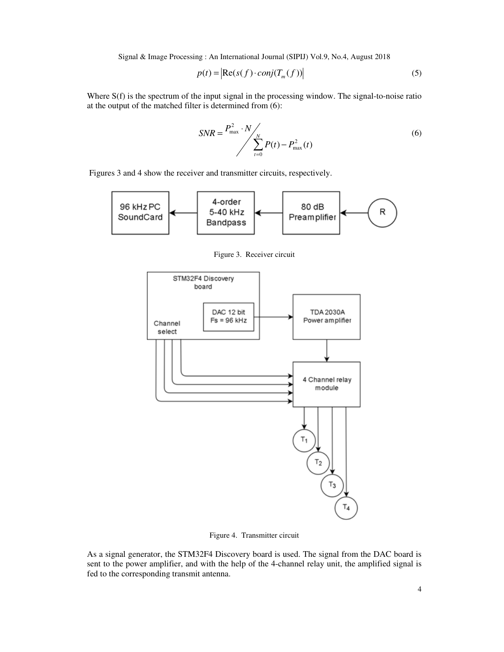$$
p(t) = \left| \text{Re}(s(f) \cdot \text{conj}(T_m(f))) \right| \tag{5}
$$

Where S(f) is the spectrum of the input signal in the processing window. The signal-to-noise ratio at the output of the matched filter is determined from (6):

$$
SNR = \frac{P_{\text{max}}^2 \cdot N}{\sum_{t=0}^{N} P(t) - P_{\text{max}}^2(t)}
$$
(6)

Figures 3 and 4 show the receiver and transmitter circuits, respectively.



Figure 3. Receiver circuit



Figure 4. Transmitter circuit

As a signal generator, the STM32F4 Discovery board is used. The signal from the DAC board is sent to the power amplifier, and with the help of the 4-channel relay unit, the amplified signal is fed to the corresponding transmit antenna.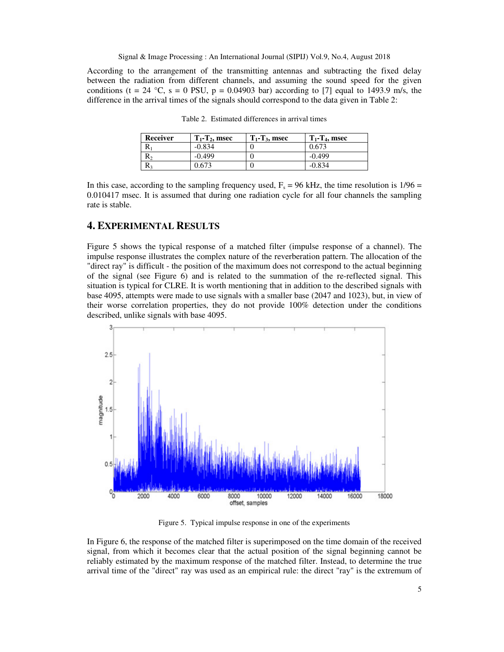According to the arrangement of the transmitting antennas and subtracting the fixed delay between the radiation from different channels, and assuming the sound speed for the given conditions (t = 24 °C, s = 0 PSU, p = 0.04903 bar) according to [7] equal to 1493.9 m/s, the difference in the arrival times of the signals should correspond to the data given in Table 2:

| Receiver | $T_1$ - $T_2$ , msec | $T_1$ - $T_3$ , msec | $T_1$ - $T_4$ , msec |
|----------|----------------------|----------------------|----------------------|
| n        | $-0.834$             |                      | 0.673                |
| ĸ٥       | $-0.499$             |                      | $-0.499$             |
|          | 0.673                |                      | -0.834               |

Table 2. Estimated differences in arrival times

In this case, according to the sampling frequency used,  $F_s = 96$  kHz, the time resolution is  $1/96 =$ 0.010417 msec. It is assumed that during one radiation cycle for all four channels the sampling rate is stable.

# **4. EXPERIMENTAL RESULTS**

Figure 5 shows the typical response of a matched filter (impulse response of a channel). The impulse response illustrates the complex nature of the reverberation pattern. The allocation of the "direct ray" is difficult - the position of the maximum does not correspond to the actual beginning of the signal (see Figure 6) and is related to the summation of the re-reflected signal. This situation is typical for CLRE. It is worth mentioning that in addition to the described signals with base 4095, attempts were made to use signals with a smaller base (2047 and 1023), but, in view of their worse correlation properties, they do not provide 100% detection under the conditions described, unlike signals with base 4095.



Figure 5. Typical impulse response in one of the experiments

In Figure 6, the response of the matched filter is superimposed on the time domain of the received signal, from which it becomes clear that the actual position of the signal beginning cannot be reliably estimated by the maximum response of the matched filter. Instead, to determine the true arrival time of the "direct" ray was used as an empirical rule: the direct "ray" is the extremum of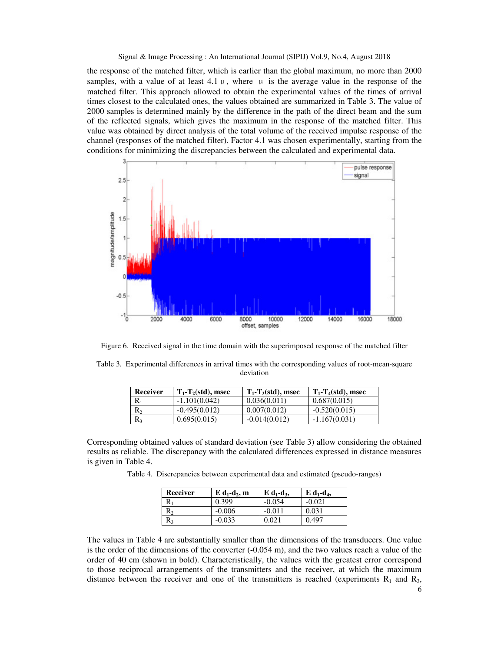the response of the matched filter, which is earlier than the global maximum, no more than 2000 samples, with a value of at least 4.1  $\mu$ , where  $\mu$  is the average value in the response of the matched filter. This approach allowed to obtain the experimental values of the times of arrival times closest to the calculated ones, the values obtained are summarized in Table 3. The value of 2000 samples is determined mainly by the difference in the path of the direct beam and the sum of the reflected signals, which gives the maximum in the response of the matched filter. This value was obtained by direct analysis of the total volume of the received impulse response of the channel (responses of the matched filter). Factor 4.1 was chosen experimentally, starting from the conditions for minimizing the discrepancies between the calculated and experimental data.



Figure 6. Received signal in the time domain with the superimposed response of the matched filter

Table 3. Experimental differences in arrival times with the corresponding values of root-mean-square deviation

| Receiver  | $T_1$ - $T_2$ (std), msec | $T_1$ - $T_3$ (std), msec | $T_1$ - $T_4$ (std), msec |
|-----------|---------------------------|---------------------------|---------------------------|
| $\rm R_1$ | $-1.101(0.042)$           | 0.036(0.011)              | 0.687(0.015)              |
| $\rm R_2$ | $-0.495(0.012)$           | 0.007(0.012)              | $-0.520(0.015)$           |
| R,        | 0.695(0.015)              | $-0.014(0.012)$           | $-1.167(0.031)$           |

Corresponding obtained values of standard deviation (see Table 3) allow considering the obtained results as reliable. The discrepancy with the calculated differences expressed in distance measures is given in Table 4.

Table 4. Discrepancies between experimental data and estimated (pseudo-ranges)

| Receiver | $E \, d_1-d_2$ , m | $E \, d_1 - d_3$ | $E \, d_1 - d_4$ |
|----------|--------------------|------------------|------------------|
|          | 0.399              | $-0.054$         | $-0.021$         |
| R,       | $-0.006$           | -0.011           | 0.031            |
| Sэ       | $-0.033$           | 0.021            | 0.497            |

The values in Table 4 are substantially smaller than the dimensions of the transducers. One value is the order of the dimensions of the converter  $(-0.054 \text{ m})$ , and the two values reach a value of the order of 40 cm (shown in bold). Characteristically, the values with the greatest error correspond to those reciprocal arrangements of the transmitters and the receiver, at which the maximum distance between the receiver and one of the transmitters is reached (experiments  $R_1$  and  $R_3$ ,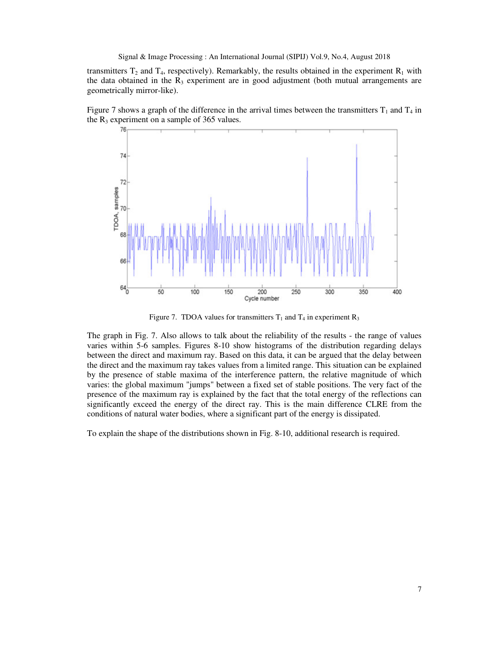transmitters  $T_2$  and  $T_4$ , respectively). Remarkably, the results obtained in the experiment  $R_1$  with the data obtained in the  $R_3$  experiment are in good adjustment (both mutual arrangements are geometrically mirror-like).





Figure 7. TDOA values for transmitters  $T_1$  and  $T_4$  in experiment  $R_3$ 

The graph in Fig. 7. Also allows to talk about the reliability of the results - the range of values varies within 5-6 samples. Figures 8-10 show histograms of the distribution regarding delays between the direct and maximum ray. Based on this data, it can be argued that the delay between the direct and the maximum ray takes values from a limited range. This situation can be explained by the presence of stable maxima of the interference pattern, the relative magnitude of which varies: the global maximum "jumps" between a fixed set of stable positions. The very fact of the presence of the maximum ray is explained by the fact that the total energy of the reflections can significantly exceed the energy of the direct ray. This is the main difference CLRE from the conditions of natural water bodies, where a significant part of the energy is dissipated.

To explain the shape of the distributions shown in Fig. 8-10, additional research is required.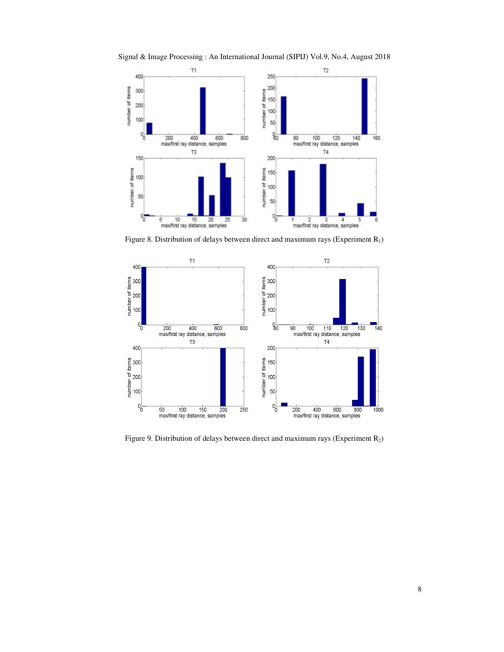Signal & Image Processing : An International Journal (SIPIJ) Vol.9, No.4, August 2018



Figure 8. Distribution of delays between direct and maximum rays (Experiment  $R_1$ )



Figure 9. Distribution of delays between direct and maximum rays (Experiment R2)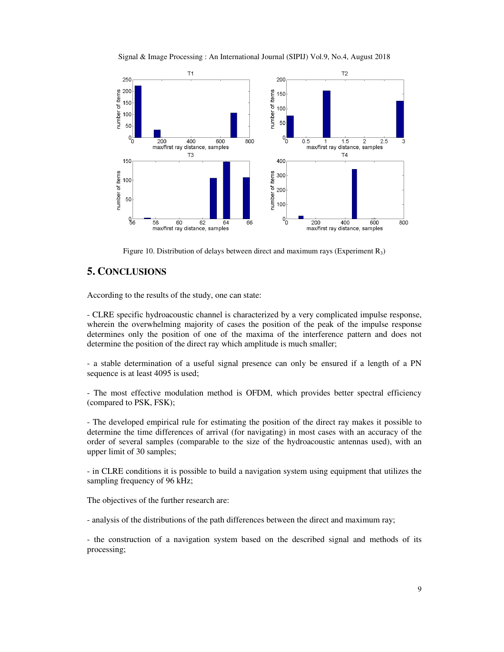



Figure 10. Distribution of delays between direct and maximum rays (Experiment  $R_3$ )

# **5. CONCLUSIONS**

According to the results of the study, one can state:

- CLRE specific hydroacoustic channel is characterized by a very complicated impulse response, wherein the overwhelming majority of cases the position of the peak of the impulse response determines only the position of one of the maxima of the interference pattern and does not determine the position of the direct ray which amplitude is much smaller;

- a stable determination of a useful signal presence can only be ensured if a length of a PN sequence is at least 4095 is used;

- The most effective modulation method is OFDM, which provides better spectral efficiency (compared to PSK, FSK);

- The developed empirical rule for estimating the position of the direct ray makes it possible to determine the time differences of arrival (for navigating) in most cases with an accuracy of the order of several samples (comparable to the size of the hydroacoustic antennas used), with an upper limit of 30 samples;

- in CLRE conditions it is possible to build a navigation system using equipment that utilizes the sampling frequency of 96 kHz;

The objectives of the further research are:

- analysis of the distributions of the path differences between the direct and maximum ray;

- the construction of a navigation system based on the described signal and methods of its processing;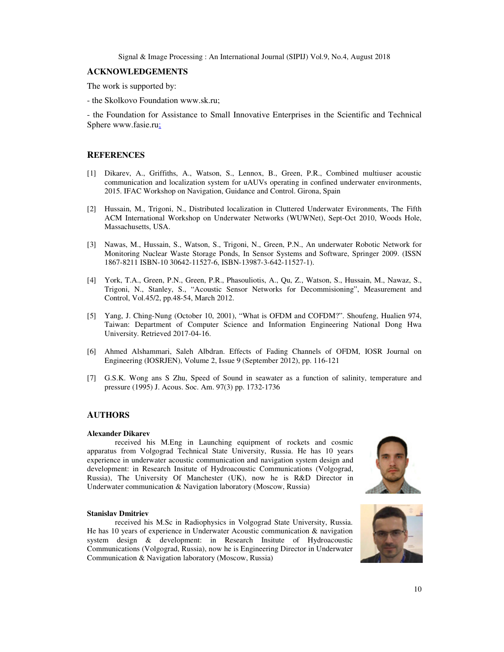#### **ACKNOWLEDGEMENTS**

The work is supported by:

- the Skolkovo Foundation www.sk.ru;

- the Foundation for Assistance to Small Innovative Enterprises in the Scientific and Technical Sphere www.fasie.ru;

## **REFERENCES**

- [1] Dikarev, A., Griffiths, A., Watson, S., Lennox, B., Green, P.R., Combined multiuser acoustic communication and localization system for uAUVs operating in confined underwater environments, 2015. IFAC Workshop on Navigation, Guidance and Control. Girona, Spain
- [2] Hussain, M., Trigoni, N., Distributed localization in Cluttered Underwater Evironments, The Fifth ACM International Workshop on Underwater Networks (WUWNet), Sept-Oct 2010, Woods Hole, Massachusetts, USA.
- [3] Nawas, M., Hussain, S., Watson, S., Trigoni, N., Green, P.N., An underwater Robotic Network for Monitoring Nuclear Waste Storage Ponds, In Sensor Systems and Software, Springer 2009. (ISSN 1867-8211 ISBN-10 30642-11527-6, ISBN-13987-3-642-11527-1).
- [4] York, T.A., Green, P.N., Green, P.R., Phasouliotis, A., Qu, Z., Watson, S., Hussain, M., Nawaz, S., Trigoni, N., Stanley, S., "Acoustic Sensor Networks for Decommisioning", Measurement and Control, Vol.45/2, pp.48-54, March 2012.
- [5] Yang, J. Ching-Nung (October 10, 2001), "What is OFDM and COFDM?". Shoufeng, Hualien 974, Taiwan: Department of Computer Science and Information Engineering National Dong Hwa University. Retrieved 2017-04-16.
- [6] Ahmed Alshammari, Saleh Albdran. Effects of Fading Channels of OFDM, IOSR Journal on Engineering (IOSRJEN), Volume 2, Issue 9 (September 2012), pp. 116-121
- [7] G.S.K. Wong ans S Zhu, Speed of Sound in seawater as a function of salinity, temperature and pressure (1995) J. Acous. Soc. Am. 97(3) pp. 1732-1736

## **AUTHORS**

#### **Alexander Dikarev**

 received his M.Eng in Launching equipment of rockets and cosmic apparatus from Volgograd Technical State University, Russia. He has 10 years experience in underwater acoustic communication and navigation system design and development: in Research Insitute of Hydroacoustic Communications (Volgograd, Russia), The University Of Manchester (UK), now he is R&D Director in Underwater communication & Navigation laboratory (Moscow, Russia)



#### **Stanislav Dmitriev**

 received his M.Sc in Radiophysics in Volgograd State University, Russia. He has 10 years of experience in Underwater Acoustic communication & navigation system design & development: in Research Insitute of Hydroacoustic Communications (Volgograd, Russia), now he is Engineering Director in Underwater Communication & Navigation laboratory (Moscow, Russia)